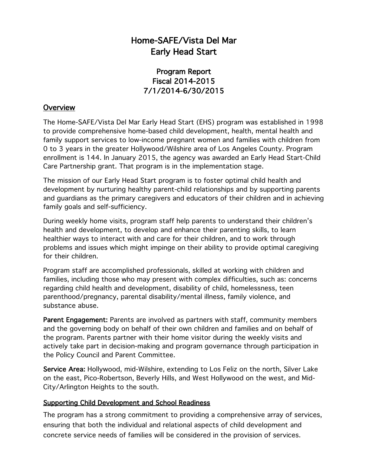# Home-SAFE/Vista Del Mar Early Head Start

## Program Report Fiscal 2014-2015 7/1/2014-6/30/2015

### **Overview**

The Home-SAFE/Vista Del Mar Early Head Start (EHS) program was established in 1998 to provide comprehensive home-based child development, health, mental health and family support services to low-income pregnant women and families with children from 0 to 3 years in the greater Hollywood/Wilshire area of Los Angeles County. Program enrollment is 144. In January 2015, the agency was awarded an Early Head Start-Child Care Partnership grant. That program is in the implementation stage.

The mission of our Early Head Start program is to foster optimal child health and development by nurturing healthy parent-child relationships and by supporting parents and guardians as the primary caregivers and educators of their children and in achieving family goals and self-sufficiency.

During weekly home visits, program staff help parents to understand their children's health and development, to develop and enhance their parenting skills, to learn healthier ways to interact with and care for their children, and to work through problems and issues which might impinge on their ability to provide optimal caregiving for their children.

Program staff are accomplished professionals, skilled at working with children and families, including those who may present with complex difficulties, such as: concerns regarding child health and development, disability of child, homelessness, teen parenthood/pregnancy, parental disability/mental illness, family violence, and substance abuse.

Parent Engagement: Parents are involved as partners with staff, community members and the governing body on behalf of their own children and families and on behalf of the program. Parents partner with their home visitor during the weekly visits and actively take part in decision-making and program governance through participation in the Policy Council and Parent Committee.

Service Area: Hollywood, mid-Wilshire, extending to Los Feliz on the north, Silver Lake on the east, Pico-Robertson, Beverly Hills, and West Hollywood on the west, and Mid-City/Arlington Heights to the south.

#### Supporting Child Development and School Readiness

The program has a strong commitment to providing a comprehensive array of services, ensuring that both the individual and relational aspects of child development and concrete service needs of families will be considered in the provision of services.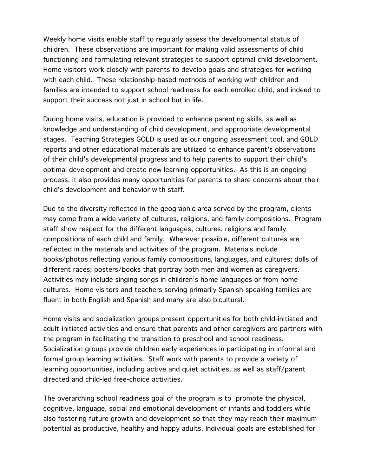Weekly home visits enable staff to regularly assess the developmental status of children. These observations are important for making valid assessments of child functioning and formulating relevant strategies to support optimal child development. Home visitors work closely with parents to develop goals and strategies for working with each child. These relationship-based methods of working with children and families are intended to support school readiness for each enrolled child, and indeed to support their success not just in school but in life.

During home visits, education is provided to enhance parenting skills, as well as knowledge and understanding of child development, and appropriate developmental stages. Teaching Strategies GOLD is used as our ongoing assessment tool, and GOLD reports and other educational materials are utilized to enhance parent's observations of their child's developmental progress and to help parents to support their child's optimal development and create new learning opportunities. As this is an ongoing process, it also provides many opportunities for parents to share concerns about their child's development and behavior with staff.

Due to the diversity reflected in the geographic area served by the program, clients may come from a wide variety of cultures, religions, and family compositions. Program staff show respect for the different languages, cultures, religions and family compositions of each child and family. Wherever possible, different cultures are reflected in the materials and activities of the program. Materials include books/photos reflecting various family compositions, languages, and cultures; dolls of different races; posters/books that portray both men and women as caregivers. Activities may include singing songs in children's home languages or from home cultures. Home visitors and teachers serving primarily Spanish-speaking families are fluent in both English and Spanish and many are also bicultural.

Home visits and socialization groups present opportunities for both child-initiated and adult-initiated activities and ensure that parents and other caregivers are partners with the program in facilitating the transition to preschool and school readiness. Socialization groups provide children early experiences in participating in informal and formal group learning activities. Staff work with parents to provide a variety of learning opportunities, including active and quiet activities, as well as staff/parent directed and child-led free-choice activities.

The overarching school readiness goal of the program is to promote the physical, cognitive, language, social and emotional development of infants and toddlers while also fostering future growth and development so that they may reach their maximum potential as productive, healthy and happy adults. Individual goals are established for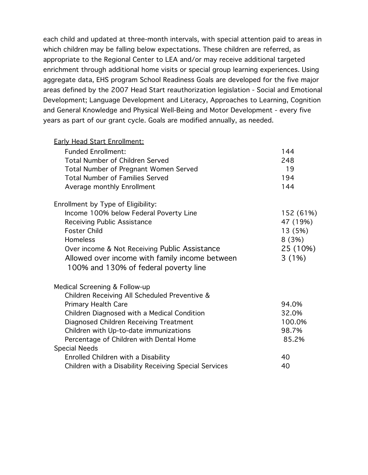each child and updated at three-month intervals, with special attention paid to areas in which children may be falling below expectations. These children are referred, as appropriate to the Regional Center to LEA and/or may receive additional targeted enrichment through additional home visits or special group learning experiences. Using aggregate data, EHS program School Readiness Goals are developed for the five major areas defined by the 2007 Head Start reauthorization legislation - Social and Emotional Development; Language Development and Literacy, Approaches to Learning, Cognition and General Knowledge and Physical Well-Being and Motor Development - every five years as part of our grant cycle. Goals are modified annually, as needed.

| <b>Early Head Start Enrollment:</b>                   |           |
|-------------------------------------------------------|-----------|
| <b>Funded Enrollment:</b>                             | 144       |
| <b>Total Number of Children Served</b>                | 248       |
| Total Number of Pregnant Women Served                 | 19        |
| <b>Total Number of Families Served</b>                | 194       |
| Average monthly Enrollment                            | 144       |
| Enrollment by Type of Eligibility:                    |           |
| Income 100% below Federal Poverty Line                | 152 (61%) |
| <b>Receiving Public Assistance</b>                    | 47 (19%)  |
| <b>Foster Child</b>                                   | 13 (5%)   |
| Homeless                                              | 8(3%)     |
| Over income & Not Receiving Public Assistance         | 25 (10%)  |
| Allowed over income with family income between        | 3(1%)     |
| 100% and 130% of federal poverty line                 |           |
| Medical Screening & Follow-up                         |           |
| Children Receiving All Scheduled Preventive &         |           |
| <b>Primary Health Care</b>                            | 94.0%     |
| Children Diagnosed with a Medical Condition           | 32.0%     |
| Diagnosed Children Receiving Treatment                | 100.0%    |
| Children with Up-to-date immunizations                | 98.7%     |
| Percentage of Children with Dental Home               | 85.2%     |
| <b>Special Needs</b>                                  |           |
| Enrolled Children with a Disability                   | 40        |
| Children with a Disability Receiving Special Services | 40        |